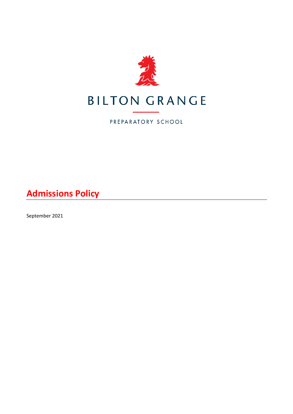

PREPARATORY SCHOOL

**Admissions Policy**

September 2021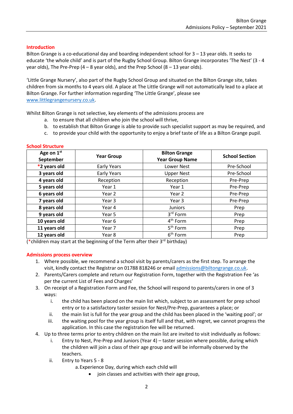## **Introduction**

Bilton Grange is a co-educational day and boarding independent school for 3 – 13 year olds. It seeks to educate 'the whole child' and is part of the Rugby School Group. Bilton Grange incorporates 'The Nest' (3 - 4 year olds), The Pre-Prep  $(4 - 8$  year olds), and the Prep School  $(8 - 13$  year olds).

'Little Grange Nursery', also part of the Rugby School Group and situated on the Bilton Grange site, takes children from six months to 4 years old. A place at The Little Grange will not automatically lead to a place at Bilton Grange. For further information regarding 'The Little Grange', please see [www.littlegrangenursery.co.uk.](http://www.littlegrangenursery.co.uk/)

Whilst Bilton Grange is not selective, key elements of the admissions process are

- a. to ensure that all children who join the school will thrive,
- b. to establish that Bilton Grange is able to provide such specialist support as may be required, and
- c. to provide your child with the opportunity to enjoy a brief taste of life as a Bilton Grange pupil.

| Age on 1st<br>September | <b>Year Group</b>  | <b>Bilton Grange</b><br><b>Year Group Name</b> | <b>School Section</b> |
|-------------------------|--------------------|------------------------------------------------|-----------------------|
| *2 years old            | <b>Early Years</b> | Lower Nest                                     | Pre-School            |
| 3 years old             | Early Years        | <b>Upper Nest</b>                              | Pre-School            |
| 4 years old             | Reception          | Reception                                      | Pre-Prep              |
| 5 years old             | Year 1             | Year 1                                         | Pre-Prep              |
| 6 years old             | Year 2             | Year 2                                         | Pre-Prep              |
| 7 years old             | Year 3             | Year 3                                         | Pre-Prep              |
| 8 years old             | Year 4             | <b>Juniors</b>                                 | Prep                  |
| 9 years old             | Year 5             | 3rd Form                                       | Prep                  |
| 10 years old            | Year 6             | 4 <sup>th</sup> Form                           | Prep                  |
| 11 years old            | Year 7             | 5 <sup>th</sup> Form                           | Prep                  |
| 12 years old            | Year 8             | 6 <sup>th</sup> Form                           | Prep                  |

**School Structure**

(\*children may start at the beginning of the Term after their  $3^{rd}$  birthday)

### **Admissions process overview**

- 1. Where possible, we recommend a school visit by parents/carers as the first step. To arrange the visit, kindly contact the Registrar on 01788 818246 or email [admissions@biltongrange.co.uk.](mailto:admissions@biltongrange.co.uk)
- 2. Parents/Carers complete and return our Registration Form, together with the Registration Fee 'as per the current List of Fees and Charges'
- 3. On receipt of a Registration Form and Fee, the School will respond to parents/carers in one of 3 ways:
	- i. the child has been placed on the main list which, subject to an assessment for prep school entry or to a satisfactory taster session for Nest/Pre-Prep, guarantees a place; or
	- ii. the main list is full for the year group and the child has been placed in the 'waiting pool'; or
	- iii. the waiting pool for the year group is itself full and that, with regret, we cannot progress the application. In this case the registration fee will be returned.
- 4. Up to three terms prior to entry children on the main list are invited to visit individually as follows:
	- i. Entry to Nest, Pre-Prep and Juniors (Year 4) taster session where possible, during which the children will join a class of their age group and will be informally observed by the teachers.
	- ii. Entry to Years 5 8
		- a.Experience Day, during which each child will
			- join classes and activities with their age group,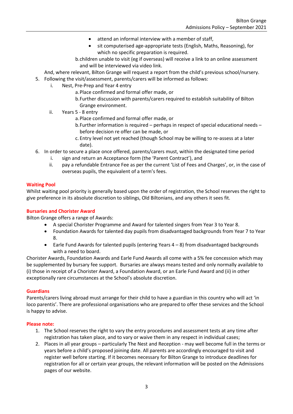- attend an informal interview with a member of staff,
- sit computerised age-appropriate tests (English, Maths, Reasoning), for which no specific preparation is required.
- b.children unable to visit (eg if overseas) will receive a link to an online assessment and will be interviewed via video link.

And, where relevant, Bilton Grange will request a report from the child's previous school/nursery. 5. Following the visit/assessment, parents/carers will be informed as follows:

- i. Nest, Pre-Prep and Year 4 entry
	- a.Place confirmed and formal offer made, or
	- b.Further discussion with parents/carers required to establish suitability of Bilton Grange environment.
- ii. Years 5 8 entry
	- a.Place confirmed and formal offer made, or
	- b.Further information is required perhaps in respect of special educational needs before decision re offer can be made, or
	- c. Entry level not yet reached (though School may be willing to re-assess at a later date).
- 6. In order to secure a place once offered, parents/carers must, within the designated time period
	- i. sign and return an Acceptance form (the 'Parent Contract'), and
	- ii. pay a refundable Entrance Fee as per the current 'List of Fees and Charges', or, in the case of overseas pupils, the equivalent of a term's fees.

## **Waiting Pool**

Whilst waiting pool priority is generally based upon the order of registration, the School reserves the right to give preference in its absolute discretion to siblings, Old Biltonians, and any others it sees fit.

# **Bursaries and Chorister Award**

Bilton Grange offers a range of Awards:

- A special Chorister Programme and Award for talented singers from Year 3 to Year 8.
- Foundation Awards for talented day pupils from disadvantaged backgrounds from Year 7 to Year 8.
- Earle Fund Awards for talented pupils (entering Years 4 8) from disadvantaged backgrounds with a need to board.

Chorister Awards, Foundation Awards and Earle Fund Awards all come with a 5% fee concession which may be supplemented by bursary fee support. Bursaries are always means tested and only normally available to (i) those in receipt of a Chorister Award, a Foundation Award, or an Earle Fund Award and (ii) in other exceptionally rare circumstances at the School's absolute discretion.

### **Guardians**

Parents/carers living abroad must arrange for their child to have a guardian in this country who will act 'in loco parentis'. There are professional organisations who are prepared to offer these services and the School is happy to advise.

### **Please note:**

- 1. The School reserves the right to vary the entry procedures and assessment tests at any time after registration has taken place, and to vary or waive them in any respect in individual cases;
- 2. Places in all year groups particularly The Nest and Reception may well become full in the terms or years before a child's proposed joining date. All parents are accordingly encouraged to visit and register well before starting. If it becomes necessary for Bilton Grange to introduce deadlines for registration for all or certain year groups, the relevant information will be posted on the Admissions pages of our website.